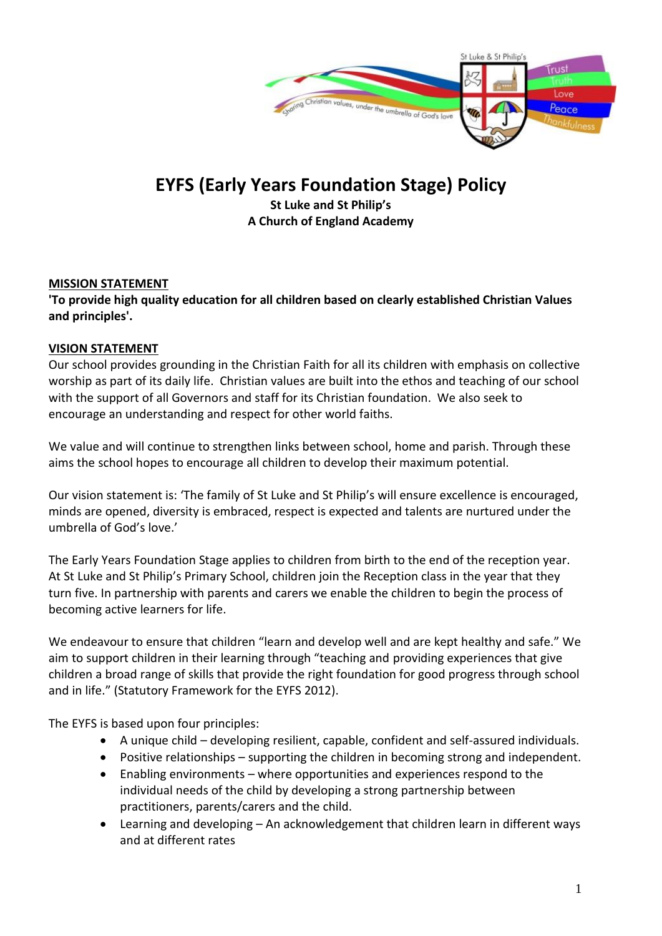

# **EYFS (Early Years Foundation Stage) Policy**

**St Luke and St Philip's A Church of England Academy**

## **MISSION STATEMENT**

**'To provide high quality education for all children based on clearly established Christian Values and principles'.**

## **VISION STATEMENT**

Our school provides grounding in the Christian Faith for all its children with emphasis on collective worship as part of its daily life. Christian values are built into the ethos and teaching of our school with the support of all Governors and staff for its Christian foundation. We also seek to encourage an understanding and respect for other world faiths.

We value and will continue to strengthen links between school, home and parish. Through these aims the school hopes to encourage all children to develop their maximum potential.

Our vision statement is: 'The family of St Luke and St Philip's will ensure excellence is encouraged, minds are opened, diversity is embraced, respect is expected and talents are nurtured under the umbrella of God's love.'

The Early Years Foundation Stage applies to children from birth to the end of the reception year. At St Luke and St Philip's Primary School, children join the Reception class in the year that they turn five. In partnership with parents and carers we enable the children to begin the process of becoming active learners for life.

We endeavour to ensure that children "learn and develop well and are kept healthy and safe." We aim to support children in their learning through "teaching and providing experiences that give children a broad range of skills that provide the right foundation for good progress through school and in life." (Statutory Framework for the EYFS 2012).

The EYFS is based upon four principles:

- A unique child developing resilient, capable, confident and self-assured individuals.
- Positive relationships supporting the children in becoming strong and independent.
- Enabling environments where opportunities and experiences respond to the individual needs of the child by developing a strong partnership between practitioners, parents/carers and the child.
- Learning and developing An acknowledgement that children learn in different ways and at different rates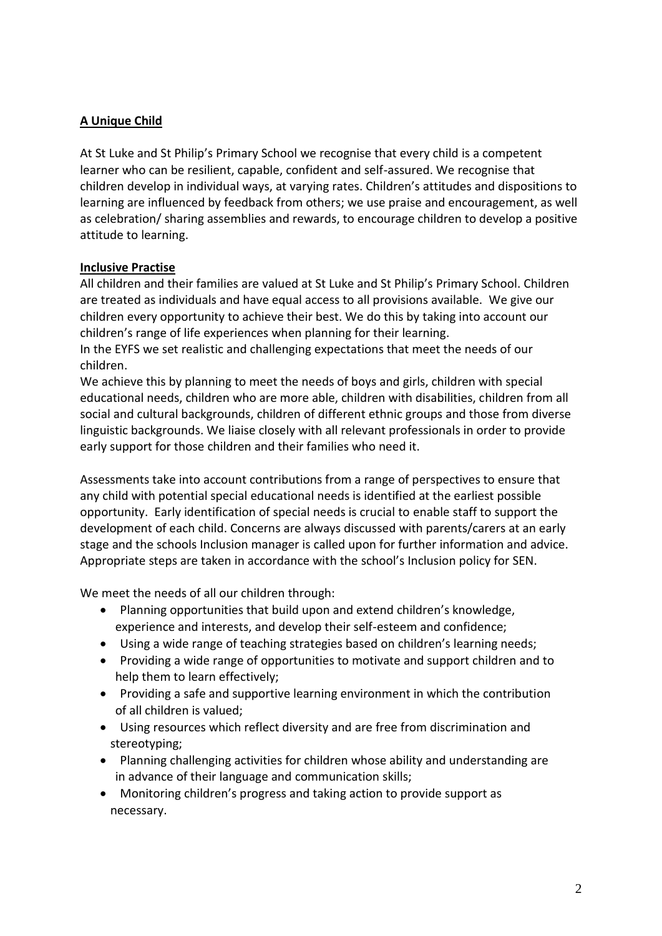# **A Unique Child**

At St Luke and St Philip's Primary School we recognise that every child is a competent learner who can be resilient, capable, confident and self-assured. We recognise that children develop in individual ways, at varying rates. Children's attitudes and dispositions to learning are influenced by feedback from others; we use praise and encouragement, as well as celebration/ sharing assemblies and rewards, to encourage children to develop a positive attitude to learning.

#### **Inclusive Practise**

All children and their families are valued at St Luke and St Philip's Primary School. Children are treated as individuals and have equal access to all provisions available. We give our children every opportunity to achieve their best. We do this by taking into account our children's range of life experiences when planning for their learning.

In the EYFS we set realistic and challenging expectations that meet the needs of our children.

We achieve this by planning to meet the needs of boys and girls, children with special educational needs, children who are more able, children with disabilities, children from all social and cultural backgrounds, children of different ethnic groups and those from diverse linguistic backgrounds. We liaise closely with all relevant professionals in order to provide early support for those children and their families who need it.

Assessments take into account contributions from a range of perspectives to ensure that any child with potential special educational needs is identified at the earliest possible opportunity. Early identification of special needs is crucial to enable staff to support the development of each child. Concerns are always discussed with parents/carers at an early stage and the schools Inclusion manager is called upon for further information and advice. Appropriate steps are taken in accordance with the school's Inclusion policy for SEN.

We meet the needs of all our children through:

- Planning opportunities that build upon and extend children's knowledge, experience and interests, and develop their self-esteem and confidence;
- Using a wide range of teaching strategies based on children's learning needs;
- Providing a wide range of opportunities to motivate and support children and to help them to learn effectively;
- Providing a safe and supportive learning environment in which the contribution of all children is valued;
- Using resources which reflect diversity and are free from discrimination and stereotyping;
- Planning challenging activities for children whose ability and understanding are in advance of their language and communication skills;
- Monitoring children's progress and taking action to provide support as necessary.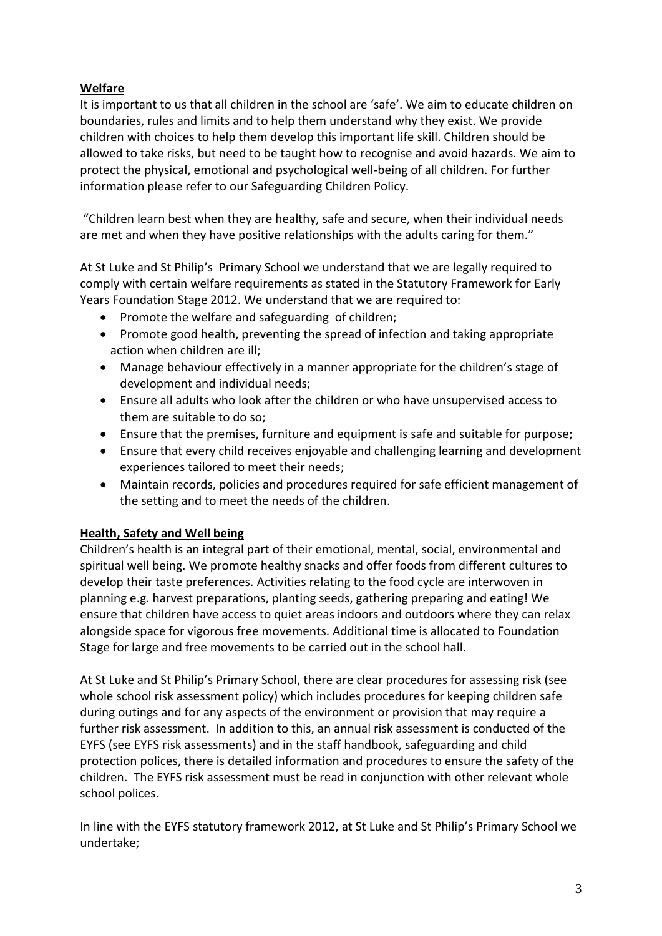# **Welfare**

It is important to us that all children in the school are 'safe'. We aim to educate children on boundaries, rules and limits and to help them understand why they exist. We provide children with choices to help them develop this important life skill. Children should be allowed to take risks, but need to be taught how to recognise and avoid hazards. We aim to protect the physical, emotional and psychological well-being of all children. For further information please refer to our Safeguarding Children Policy.

"Children learn best when they are healthy, safe and secure, when their individual needs are met and when they have positive relationships with the adults caring for them."

At St Luke and St Philip's Primary School we understand that we are legally required to comply with certain welfare requirements as stated in the Statutory Framework for Early Years Foundation Stage 2012. We understand that we are required to:

- Promote the welfare and safeguarding of children;
- Promote good health, preventing the spread of infection and taking appropriate action when children are ill;
- Manage behaviour effectively in a manner appropriate for the children's stage of development and individual needs;
- Ensure all adults who look after the children or who have unsupervised access to them are suitable to do so;
- Ensure that the premises, furniture and equipment is safe and suitable for purpose;
- Ensure that every child receives enjoyable and challenging learning and development experiences tailored to meet their needs;
- Maintain records, policies and procedures required for safe efficient management of the setting and to meet the needs of the children.

## **Health, Safety and Well being**

Children's health is an integral part of their emotional, mental, social, environmental and spiritual well being. We promote healthy snacks and offer foods from different cultures to develop their taste preferences. Activities relating to the food cycle are interwoven in planning e.g. harvest preparations, planting seeds, gathering preparing and eating! We ensure that children have access to quiet areas indoors and outdoors where they can relax alongside space for vigorous free movements. Additional time is allocated to Foundation Stage for large and free movements to be carried out in the school hall.

At St Luke and St Philip's Primary School, there are clear procedures for assessing risk (see whole school risk assessment policy) which includes procedures for keeping children safe during outings and for any aspects of the environment or provision that may require a further risk assessment. In addition to this, an annual risk assessment is conducted of the EYFS (see EYFS risk assessments) and in the staff handbook, safeguarding and child protection polices, there is detailed information and procedures to ensure the safety of the children. The EYFS risk assessment must be read in conjunction with other relevant whole school polices.

In line with the EYFS statutory framework 2012, at St Luke and St Philip's Primary School we undertake;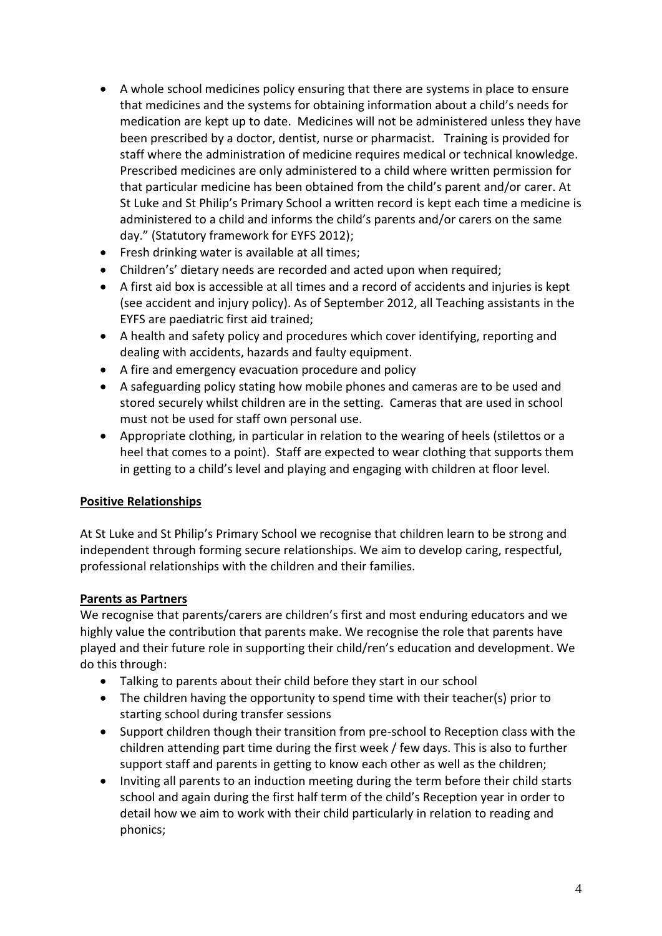- A whole school medicines policy ensuring that there are systems in place to ensure that medicines and the systems for obtaining information about a child's needs for medication are kept up to date. Medicines will not be administered unless they have been prescribed by a doctor, dentist, nurse or pharmacist. Training is provided for staff where the administration of medicine requires medical or technical knowledge. Prescribed medicines are only administered to a child where written permission for that particular medicine has been obtained from the child's parent and/or carer. At St Luke and St Philip's Primary School a written record is kept each time a medicine is administered to a child and informs the child's parents and/or carers on the same day." (Statutory framework for EYFS 2012);
- Fresh drinking water is available at all times;
- Children's' dietary needs are recorded and acted upon when required;
- A first aid box is accessible at all times and a record of accidents and injuries is kept (see accident and injury policy). As of September 2012, all Teaching assistants in the EYFS are paediatric first aid trained;
- A health and safety policy and procedures which cover identifying, reporting and dealing with accidents, hazards and faulty equipment.
- A fire and emergency evacuation procedure and policy
- A safeguarding policy stating how mobile phones and cameras are to be used and stored securely whilst children are in the setting. Cameras that are used in school must not be used for staff own personal use.
- Appropriate clothing, in particular in relation to the wearing of heels (stilettos or a heel that comes to a point). Staff are expected to wear clothing that supports them in getting to a child's level and playing and engaging with children at floor level.

## **Positive Relationships**

At St Luke and St Philip's Primary School we recognise that children learn to be strong and independent through forming secure relationships. We aim to develop caring, respectful, professional relationships with the children and their families.

## **Parents as Partners**

We recognise that parents/carers are children's first and most enduring educators and we highly value the contribution that parents make. We recognise the role that parents have played and their future role in supporting their child/ren's education and development. We do this through:

- Talking to parents about their child before they start in our school
- The children having the opportunity to spend time with their teacher(s) prior to starting school during transfer sessions
- Support children though their transition from pre-school to Reception class with the children attending part time during the first week / few days. This is also to further support staff and parents in getting to know each other as well as the children;
- Inviting all parents to an induction meeting during the term before their child starts school and again during the first half term of the child's Reception year in order to detail how we aim to work with their child particularly in relation to reading and phonics;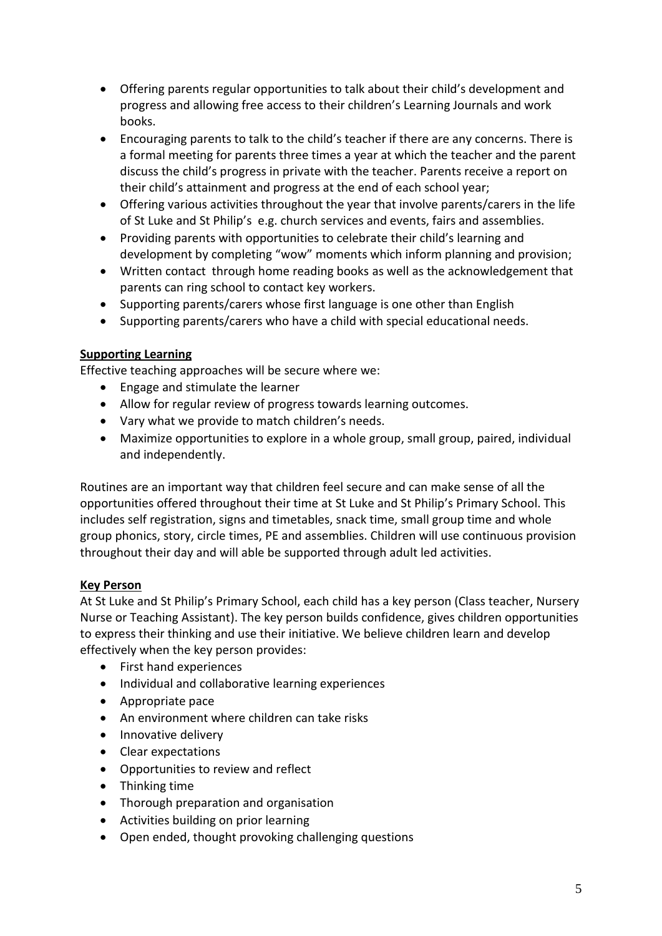- Offering parents regular opportunities to talk about their child's development and progress and allowing free access to their children's Learning Journals and work books.
- Encouraging parents to talk to the child's teacher if there are any concerns. There is a formal meeting for parents three times a year at which the teacher and the parent discuss the child's progress in private with the teacher. Parents receive a report on their child's attainment and progress at the end of each school year;
- Offering various activities throughout the year that involve parents/carers in the life of St Luke and St Philip's e.g. church services and events, fairs and assemblies.
- Providing parents with opportunities to celebrate their child's learning and development by completing "wow" moments which inform planning and provision;
- Written contact through home reading books as well as the acknowledgement that parents can ring school to contact key workers.
- Supporting parents/carers whose first language is one other than English
- Supporting parents/carers who have a child with special educational needs.

## **Supporting Learning**

Effective teaching approaches will be secure where we:

- Engage and stimulate the learner
- Allow for regular review of progress towards learning outcomes.
- Vary what we provide to match children's needs.
- Maximize opportunities to explore in a whole group, small group, paired, individual and independently.

Routines are an important way that children feel secure and can make sense of all the opportunities offered throughout their time at St Luke and St Philip's Primary School. This includes self registration, signs and timetables, snack time, small group time and whole group phonics, story, circle times, PE and assemblies. Children will use continuous provision throughout their day and will able be supported through adult led activities.

## **Key Person**

At St Luke and St Philip's Primary School, each child has a key person (Class teacher, Nursery Nurse or Teaching Assistant). The key person builds confidence, gives children opportunities to express their thinking and use their initiative. We believe children learn and develop effectively when the key person provides:

- First hand experiences
- Individual and collaborative learning experiences
- Appropriate pace
- An environment where children can take risks
- Innovative delivery
- Clear expectations
- Opportunities to review and reflect
- Thinking time
- Thorough preparation and organisation
- Activities building on prior learning
- Open ended, thought provoking challenging questions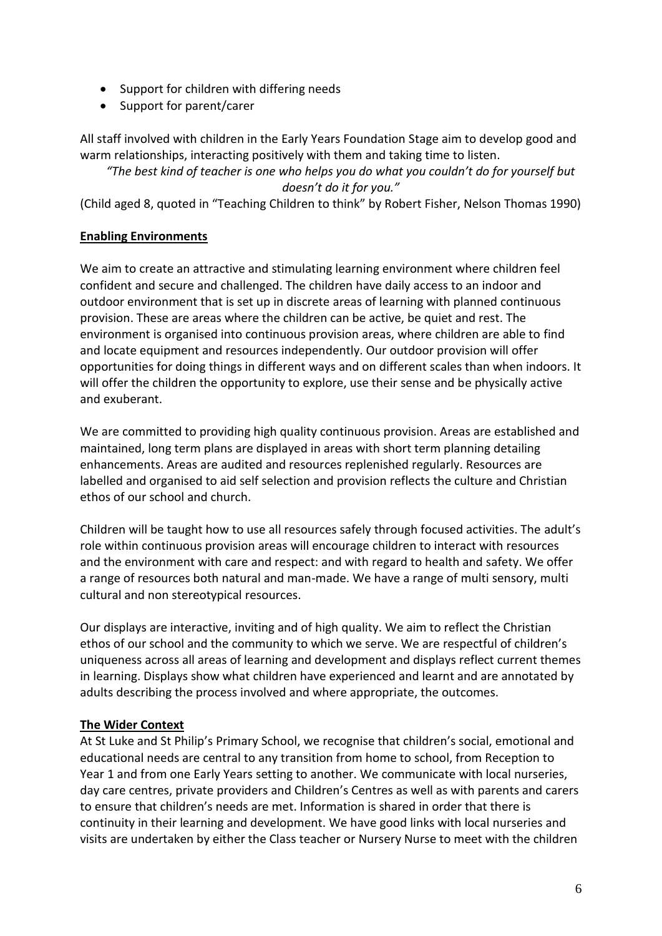- Support for children with differing needs
- Support for parent/carer

All staff involved with children in the Early Years Foundation Stage aim to develop good and warm relationships, interacting positively with them and taking time to listen.

*"The best kind of teacher is one who helps you do what you couldn't do for yourself but doesn't do it for you."*

(Child aged 8, quoted in "Teaching Children to think" by Robert Fisher, Nelson Thomas 1990)

## **Enabling Environments**

We aim to create an attractive and stimulating learning environment where children feel confident and secure and challenged. The children have daily access to an indoor and outdoor environment that is set up in discrete areas of learning with planned continuous provision. These are areas where the children can be active, be quiet and rest. The environment is organised into continuous provision areas, where children are able to find and locate equipment and resources independently. Our outdoor provision will offer opportunities for doing things in different ways and on different scales than when indoors. It will offer the children the opportunity to explore, use their sense and be physically active and exuberant.

We are committed to providing high quality continuous provision. Areas are established and maintained, long term plans are displayed in areas with short term planning detailing enhancements. Areas are audited and resources replenished regularly. Resources are labelled and organised to aid self selection and provision reflects the culture and Christian ethos of our school and church.

Children will be taught how to use all resources safely through focused activities. The adult's role within continuous provision areas will encourage children to interact with resources and the environment with care and respect: and with regard to health and safety. We offer a range of resources both natural and man-made. We have a range of multi sensory, multi cultural and non stereotypical resources.

Our displays are interactive, inviting and of high quality. We aim to reflect the Christian ethos of our school and the community to which we serve. We are respectful of children's uniqueness across all areas of learning and development and displays reflect current themes in learning. Displays show what children have experienced and learnt and are annotated by adults describing the process involved and where appropriate, the outcomes.

# **The Wider Context**

At St Luke and St Philip's Primary School, we recognise that children's social, emotional and educational needs are central to any transition from home to school, from Reception to Year 1 and from one Early Years setting to another. We communicate with local nurseries, day care centres, private providers and Children's Centres as well as with parents and carers to ensure that children's needs are met. Information is shared in order that there is continuity in their learning and development. We have good links with local nurseries and visits are undertaken by either the Class teacher or Nursery Nurse to meet with the children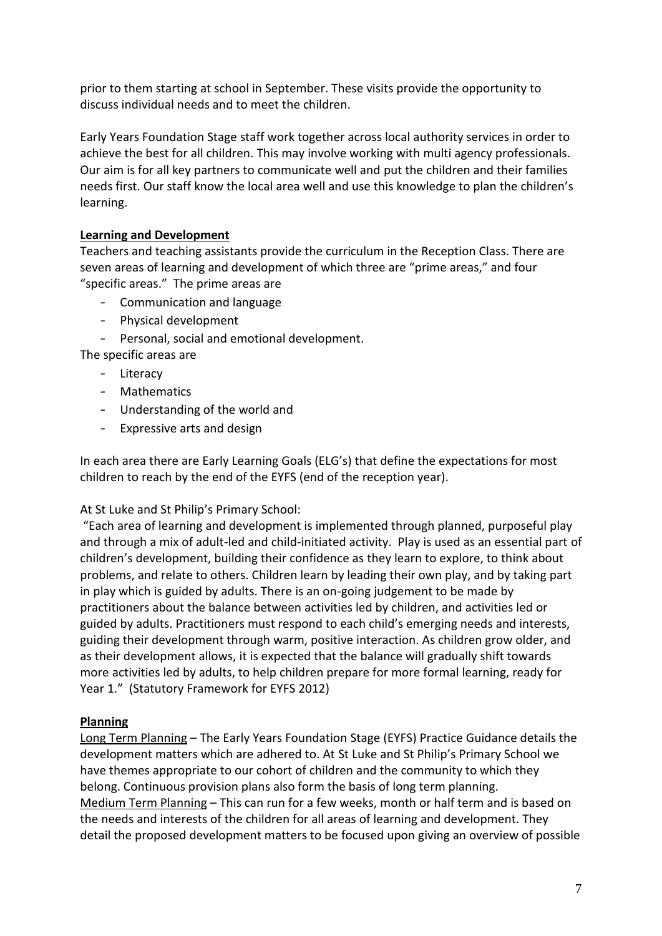prior to them starting at school in September. These visits provide the opportunity to discuss individual needs and to meet the children.

Early Years Foundation Stage staff work together across local authority services in order to achieve the best for all children. This may involve working with multi agency professionals. Our aim is for all key partners to communicate well and put the children and their families needs first. Our staff know the local area well and use this knowledge to plan the children's learning.

## **Learning and Development**

Teachers and teaching assistants provide the curriculum in the Reception Class. There are seven areas of learning and development of which three are "prime areas," and four "specific areas." The prime areas are

- Communication and language
- Physical development
- Personal, social and emotional development.

The specific areas are

- Literacy
- Mathematics
- Understanding of the world and
- Expressive arts and design

In each area there are Early Learning Goals (ELG's) that define the expectations for most children to reach by the end of the EYFS (end of the reception year).

## At St Luke and St Philip's Primary School:

"Each area of learning and development is implemented through planned, purposeful play and through a mix of adult-led and child-initiated activity. Play is used as an essential part of children's development, building their confidence as they learn to explore, to think about problems, and relate to others. Children learn by leading their own play, and by taking part in play which is guided by adults. There is an on-going judgement to be made by practitioners about the balance between activities led by children, and activities led or guided by adults. Practitioners must respond to each child's emerging needs and interests, guiding their development through warm, positive interaction. As children grow older, and as their development allows, it is expected that the balance will gradually shift towards more activities led by adults, to help children prepare for more formal learning, ready for Year 1." (Statutory Framework for EYFS 2012)

## **Planning**

Long Term Planning – The Early Years Foundation Stage (EYFS) Practice Guidance details the development matters which are adhered to. At St Luke and St Philip's Primary School we have themes appropriate to our cohort of children and the community to which they belong. Continuous provision plans also form the basis of long term planning. Medium Term Planning – This can run for a few weeks, month or half term and is based on the needs and interests of the children for all areas of learning and development. They detail the proposed development matters to be focused upon giving an overview of possible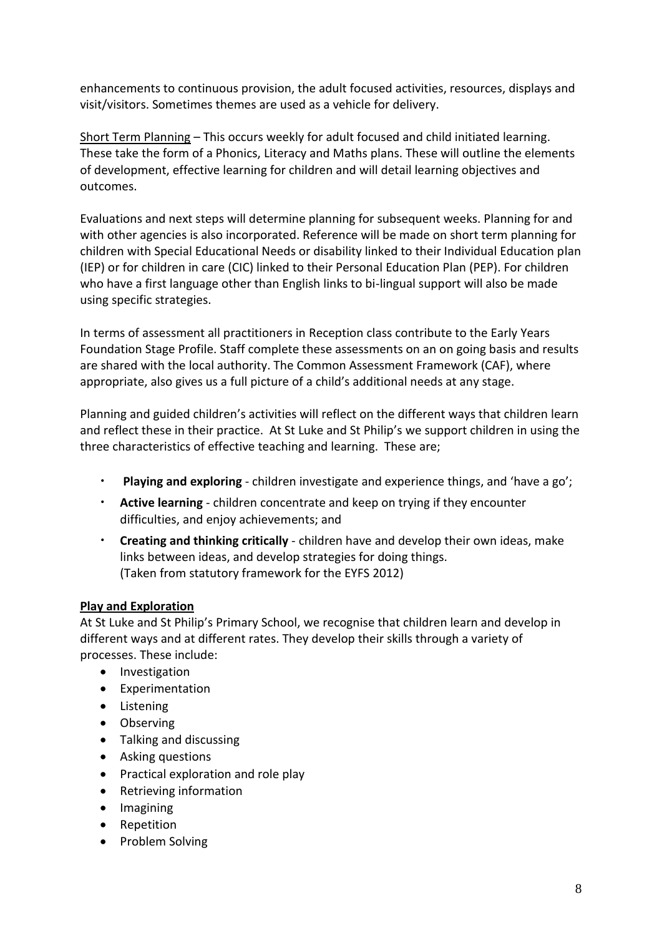enhancements to continuous provision, the adult focused activities, resources, displays and visit/visitors. Sometimes themes are used as a vehicle for delivery.

Short Term Planning – This occurs weekly for adult focused and child initiated learning. These take the form of a Phonics, Literacy and Maths plans. These will outline the elements of development, effective learning for children and will detail learning objectives and outcomes.

Evaluations and next steps will determine planning for subsequent weeks. Planning for and with other agencies is also incorporated. Reference will be made on short term planning for children with Special Educational Needs or disability linked to their Individual Education plan (IEP) or for children in care (CIC) linked to their Personal Education Plan (PEP). For children who have a first language other than English links to bi-lingual support will also be made using specific strategies.

In terms of assessment all practitioners in Reception class contribute to the Early Years Foundation Stage Profile. Staff complete these assessments on an on going basis and results are shared with the local authority. The Common Assessment Framework (CAF), where appropriate, also gives us a full picture of a child's additional needs at any stage.

Planning and guided children's activities will reflect on the different ways that children learn and reflect these in their practice. At St Luke and St Philip's we support children in using the three characteristics of effective teaching and learning. These are;

- **Playing and exploring**  children investigate and experience things, and 'have a go';
- **Active learning**  children concentrate and keep on trying if they encounter difficulties, and enjoy achievements; and
- **Creating and thinking critically**  children have and develop their own ideas, make links between ideas, and develop strategies for doing things. (Taken from statutory framework for the EYFS 2012)

## **Play and Exploration**

At St Luke and St Philip's Primary School, we recognise that children learn and develop in different ways and at different rates. They develop their skills through a variety of processes. These include:

- Investigation
- Experimentation
- Listening
- Observing
- Talking and discussing
- Asking questions
- Practical exploration and role play
- Retrieving information
- Imagining
- Repetition
- Problem Solving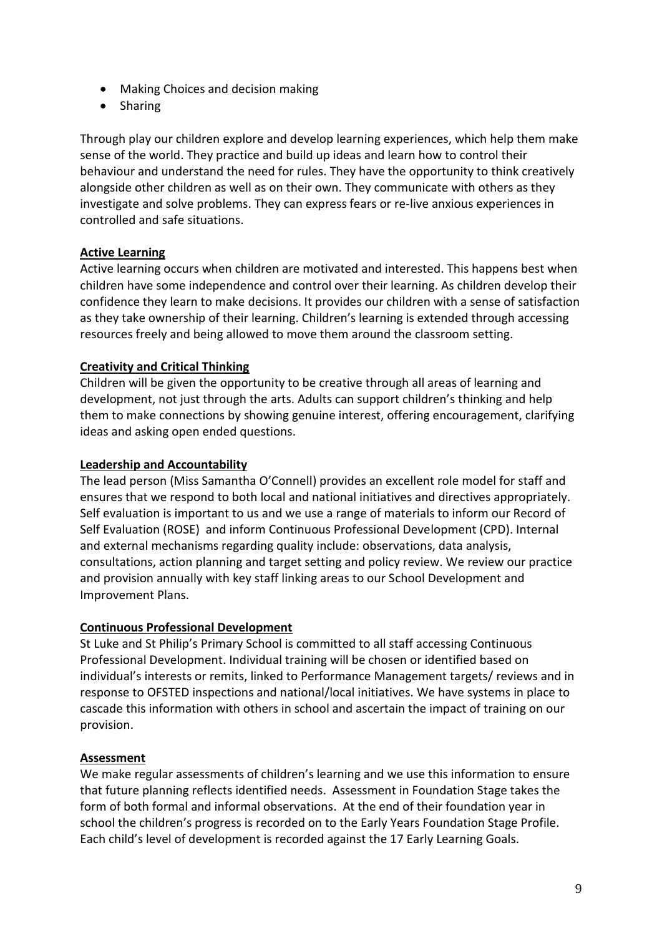- Making Choices and decision making
- Sharing

Through play our children explore and develop learning experiences, which help them make sense of the world. They practice and build up ideas and learn how to control their behaviour and understand the need for rules. They have the opportunity to think creatively alongside other children as well as on their own. They communicate with others as they investigate and solve problems. They can express fears or re-live anxious experiences in controlled and safe situations.

# **Active Learning**

Active learning occurs when children are motivated and interested. This happens best when children have some independence and control over their learning. As children develop their confidence they learn to make decisions. It provides our children with a sense of satisfaction as they take ownership of their learning. Children's learning is extended through accessing resources freely and being allowed to move them around the classroom setting.

## **Creativity and Critical Thinking**

Children will be given the opportunity to be creative through all areas of learning and development, not just through the arts. Adults can support children's thinking and help them to make connections by showing genuine interest, offering encouragement, clarifying ideas and asking open ended questions.

#### **Leadership and Accountability**

The lead person (Miss Samantha O'Connell) provides an excellent role model for staff and ensures that we respond to both local and national initiatives and directives appropriately. Self evaluation is important to us and we use a range of materials to inform our Record of Self Evaluation (ROSE) and inform Continuous Professional Development (CPD). Internal and external mechanisms regarding quality include: observations, data analysis, consultations, action planning and target setting and policy review. We review our practice and provision annually with key staff linking areas to our School Development and Improvement Plans.

## **Continuous Professional Development**

St Luke and St Philip's Primary School is committed to all staff accessing Continuous Professional Development. Individual training will be chosen or identified based on individual's interests or remits, linked to Performance Management targets/ reviews and in response to OFSTED inspections and national/local initiatives. We have systems in place to cascade this information with others in school and ascertain the impact of training on our provision.

## **Assessment**

We make regular assessments of children's learning and we use this information to ensure that future planning reflects identified needs. Assessment in Foundation Stage takes the form of both formal and informal observations. At the end of their foundation year in school the children's progress is recorded on to the Early Years Foundation Stage Profile. Each child's level of development is recorded against the 17 Early Learning Goals.